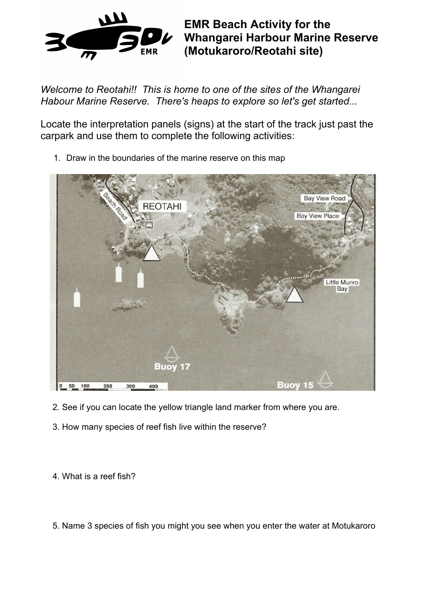

**EMR Beach Activity for the Whangarei Harbour Marine Reserve (Motukaroro/Reotahi site)**

*Welcome to Reotahi!! This is home to one of the sites of the Whangarei Habour Marine Reserve. There's heaps to explore so let's get started...*

Locate the interpretation panels (signs) at the start of the track just past the carpark and use them to complete the following activities:



1. Draw in the boundaries of the marine reserve on this map

- 2. See if you can locate the yellow triangle land marker from where you are.
- 3. How many species of reef fish live within the reserve?

4. What is a reef fish?

5. Name 3 species of fish you might you see when you enter the water at Motukaroro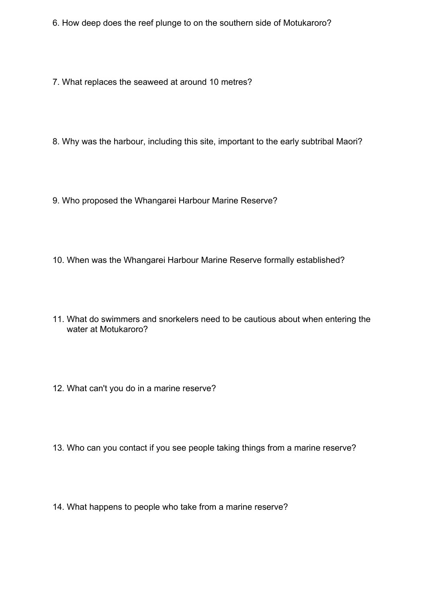- 6. How deep does the reef plunge to on the southern side of Motukaroro?
- 7. What replaces the seaweed at around 10 metres?
- 8. Why was the harbour, including this site, important to the early subtribal Maori?
- 9. Who proposed the Whangarei Harbour Marine Reserve?
- 10. When was the Whangarei Harbour Marine Reserve formally established?
- 11. What do swimmers and snorkelers need to be cautious about when entering the water at Motukaroro?
- 12. What can't you do in a marine reserve?
- 13. Who can you contact if you see people taking things from a marine reserve?
- 14. What happens to people who take from a marine reserve?